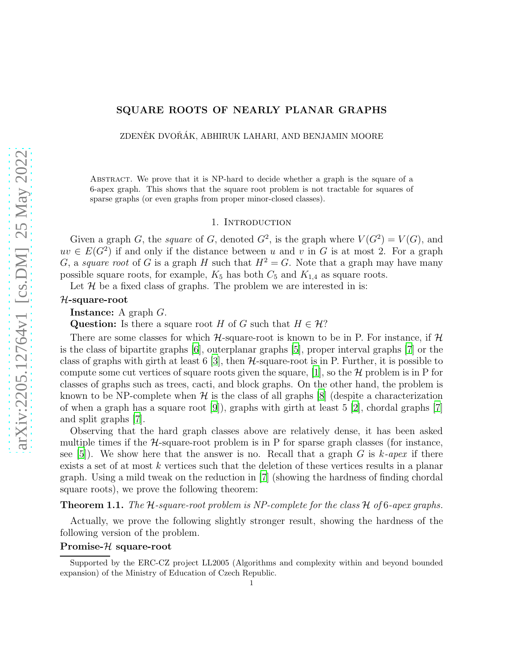# SQUARE ROOTS OF NEARLY PLANAR GRAPHS

ZDENĚK DVOŘÁK, ABHIRUK LAHARI, AND BENJAMIN MOORE

Abstract. We prove that it is NP-hard to decide whether a graph is the square of a 6-apex graph. This shows that the square root problem is not tractable for squares of sparse graphs (or even graphs from proper minor-closed classes).

### 1. INTRODUCTION

Given a graph G, the *square* of G, denoted  $G^2$ , is the graph where  $V(G^2) = V(G)$ , and  $uv \in E(G^2)$  if and only if the distance between u and v in G is at most 2. For a graph G, a *square root* of G is a graph H such that  $H^2 = G$ . Note that a graph may have many possible square roots, for example,  $K_5$  has both  $C_5$  and  $K_{1,4}$  as square roots.

Let  $H$  be a fixed class of graphs. The problem we are interested in is:

### H-square-root

Instance: A graph G.

Question: Is there a square root H of G such that  $H \in \mathcal{H}$ ?

There are some classes for which  $H$ -square-root is known to be in P. For instance, if H is the class of bipartite graphs [\[6](#page-4-0)], outerplanar graphs [\[5\]](#page-4-1), proper interval graphs [\[7\]](#page-4-2) or the class of graphs with girth at least 6 [\[3](#page-4-3)], then  $H$ -square-root is in P. Further, it is possible to compute some cut vertices of square roots given the square, [\[1](#page-4-4)], so the  $\mathcal H$  problem is in P for classes of graphs such as trees, cacti, and block graphs. On the other hand, the problem is known to be NP-complete when  $\mathcal H$  is the class of all graphs [\[8\]](#page-4-5) (despite a characterization of when a graph has a square root [\[9\]](#page-5-0)), graphs with girth at least 5 [\[2](#page-4-6)], chordal graphs [\[7\]](#page-4-2) and split graphs [\[7\]](#page-4-2).

Observing that the hard graph classes above are relatively dense, it has been asked multiple times if the  $H$ -square-root problem is in P for sparse graph classes (for instance, see [\[5\]](#page-4-1)). We show here that the answer is no. Recall that a graph G is k*-apex* if there exists a set of at most k vertices such that the deletion of these vertices results in a planar graph. Using a mild tweak on the reduction in [\[7\]](#page-4-2) (showing the hardness of finding chordal square roots), we prove the following theorem:

<span id="page-0-0"></span>Theorem 1.1. *The* H*-square-root problem is NP-complete for the class* H *of* 6*-apex graphs.*

Actually, we prove the following slightly stronger result, showing the hardness of the following version of the problem.

## Promise-H square-root

Supported by the ERC-CZ project LL2005 (Algorithms and complexity within and beyond bounded expansion) of the Ministry of Education of Czech Republic.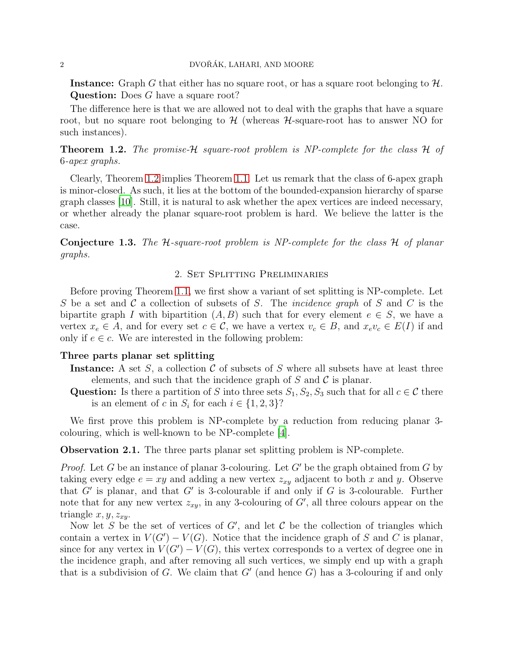## 2 DVOŘÁK, LAHARI, AND MOORE

**Instance:** Graph G that either has no square root, or has a square root belonging to  $\mathcal{H}$ . Question: Does G have a square root?

The difference here is that we are allowed not to deal with the graphs that have a square root, but no square root belonging to  $\mathcal{H}$  (whereas  $\mathcal{H}$ -square-root has to answer NO for such instances).

<span id="page-1-0"></span>Theorem 1.2. *The promise-*H *square-root problem is NP-complete for the class* H *of* 6*-apex graphs.*

Clearly, Theorem [1.2](#page-1-0) implies Theorem [1.1.](#page-0-0) Let us remark that the class of 6-apex graph is minor-closed. As such, it lies at the bottom of the bounded-expansion hierarchy of sparse graph classes [\[10](#page-5-1)]. Still, it is natural to ask whether the apex vertices are indeed necessary, or whether already the planar square-root problem is hard. We believe the latter is the case.

Conjecture 1.3. *The* H*-square-root problem is NP-complete for the class* H *of planar graphs.*

## 2. Set Splitting Preliminaries

Before proving Theorem [1.1,](#page-0-0) we first show a variant of set splitting is NP-complete. Let S be a set and C a collection of subsets of S. The *incidence graph* of S and C is the bipartite graph I with bipartition  $(A, B)$  such that for every element  $e \in S$ , we have a vertex  $x_e \in A$ , and for every set  $c \in \mathcal{C}$ , we have a vertex  $v_c \in B$ , and  $x_e v_c \in E(I)$  if and only if  $e \in \mathcal{C}$ . We are interested in the following problem:

#### Three parts planar set splitting

- Instance: A set S, a collection C of subsets of S where all subsets have at least three elements, and such that the incidence graph of  $S$  and  $C$  is planar.
- Question: Is there a partition of S into three sets  $S_1, S_2, S_3$  such that for all  $c \in \mathcal{C}$  there is an element of c in  $S_i$  for each  $i \in \{1, 2, 3\}$ ?

We first prove this problem is NP-complete by a reduction from reducing planar 3colouring, which is well-known to be NP-complete [\[4\]](#page-4-7).

Observation 2.1. The three parts planar set splitting problem is NP-complete.

*Proof.* Let G be an instance of planar 3-colouring. Let G' be the graph obtained from G by taking every edge  $e = xy$  and adding a new vertex  $z_{xy}$  adjacent to both x and y. Observe that  $G'$  is planar, and that  $G'$  is 3-colourable if and only if G is 3-colourable. Further note that for any new vertex  $z_{xy}$ , in any 3-colouring of  $G'$ , all three colours appear on the triangle  $x, y, z_{xy}$ .

Now let S be the set of vertices of G', and let C be the collection of triangles which contain a vertex in  $V(G') - V(G)$ . Notice that the incidence graph of S and C is planar, since for any vertex in  $V(G') - V(G)$ , this vertex corresponds to a vertex of degree one in the incidence graph, and after removing all such vertices, we simply end up with a graph that is a subdivision of G. We claim that  $G'$  (and hence  $G$ ) has a 3-colouring if and only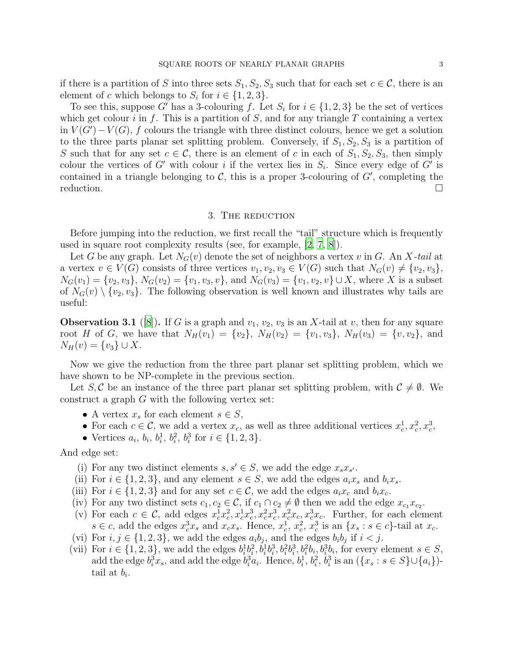if there is a partition of S into three sets  $S_1, S_2, S_3$  such that for each set  $c \in \mathcal{C}$ , there is an element of c which belongs to  $S_i$  for  $i \in \{1, 2, 3\}.$ 

To see this, suppose G' has a 3-colouring f. Let  $S_i$  for  $i \in \{1, 2, 3\}$  be the set of vertices which get colour i in f. This is a partition of  $S$ , and for any triangle  $T$  containing a vertex in  $V(G') - V(G)$ , f colours the triangle with three distinct colours, hence we get a solution to the three parts planar set splitting problem. Conversely, if  $S_1, S_2, S_3$  is a partition of S such that for any set  $c \in \mathcal{C}$ , there is an element of c in each of  $S_1, S_2, S_3$ , then simply colour the vertices of G' with colour i if the vertex lies in  $S_i$ . Since every edge of G' is contained in a triangle belonging to  $\mathcal{C}$ , this is a proper 3-colouring of  $G'$ , completing the  $reduction.$ 

## 3. The reduction

Before jumping into the reduction, we first recall the "tail" structure which is frequently used in square root complexity results (see, for example, [\[2,](#page-4-6) [7,](#page-4-2) [8\]](#page-4-5)).

Let G be any graph. Let  $N_G(v)$  denote the set of neighbors a vertex v in G. An X-tail at a vertex  $v \in V(G)$  consists of three vertices  $v_1, v_2, v_3 \in V(G)$  such that  $N_G(v) \neq \{v_2, v_3\},\$  $N_G(v_1) = \{v_2, v_3\}, N_G(v_2) = \{v_1, v_3, v\}, \text{ and } N_G(v_3) = \{v_1, v_2, v\} \cup X, \text{ where } X \text{ is a subset }$ of  $N_G(v) \setminus \{v_2, v_3\}$ . The following observation is well known and illustrates why tails are useful:

<span id="page-2-0"></span>**Observation 3.1** ([\[8](#page-4-5)]). If G is a graph and  $v_1, v_2, v_3$  is an X-tail at v, then for any square root H of G, we have that  $N_H(v_1) = \{v_2\}$ ,  $N_H(v_2) = \{v_1, v_3\}$ ,  $N_H(v_3) = \{v_1, v_2\}$ , and  $N_H(v) = \{v_3\} \cup X.$ 

Now we give the reduction from the three part planar set splitting problem, which we have shown to be NP-complete in the previous section.

Let S, C be an instance of the three part planar set splitting problem, with  $C \neq \emptyset$ . We construct a graph  $G$  with the following vertex set:

- A vertex  $x_s$  for each element  $s \in S$ ,
- For each  $c \in \mathcal{C}$ , we add a vertex  $x_c$ , as well as three additional vertices  $x_c^1$  $c^1, x_c^2, x_c^3,$
- Vertices  $a_i, b_i, b_i^1$  $i^1, b_i^2$  $i^2, b_i^3$  $i$ <sup>3</sup> for  $i \in \{1, 2, 3\}$ .

And edge set:

- (i) For any two distinct elements  $s, s' \in S$ , we add the edge  $x_s x_{s'}$ .
- (ii) For  $i \in \{1,2,3\}$ , and any element  $s \in S$ , we add the edges  $a_i x_s$  and  $b_i x_s$ .
- (iii) For  $i \in \{1, 2, 3\}$  and for any set  $c \in \mathcal{C}$ , we add the edges  $a_i x_c$  and  $b_i x_c$ .
- (iv) For any two distinct sets  $c_1, c_2 \in \mathcal{C}$ , if  $c_1 \cap c_2 \neq \emptyset$  then we add the edge  $x_{c_1} x_{c_2}$ .
- (v) For each  $c \in \mathcal{C}$ , add edges  $x_c^{\overline{1}}x_c^{\overline{2}}$  $c^2, x_c^1x_c^3$  $c^3, x_c^2 x_c^3$  $e^3$ ,  $x_e^2 x_e$ ,  $x_e^3 x_e$ . Further, for each element  $s \in c$ , add the edges  $x_c^3 x_s$  and  $x_c x_s$ . Hence,  $x_c^1$  $\frac{1}{c}$ ,  $x_c^2$  $\frac{2}{c}, \, \frac{3}{x_c^3}$  $c^3$  is an  $\{x_s : s \in c\}$ -tail at  $x_c$ .
- (vi) For  $i, j \in \{1, 2, 3\}$ , we add the edges  $a_i b_j$ , and the edges  $b_i b_j$  if  $i < j$ .
- (vii) For  $i \in \{1, 2, 3\}$ , we add the edges  $b_i^1$  $\frac{1}{i}b_i^2$  $\tilde{a}^{1}_{i}, \tilde{b}^{1}_{i}b^{3}_{i}$  $i^3, b_i^2b_i^3$  $i<sup>3</sup>, b<sub>i</sub><sup>2</sup>b<sub>i</sub>, b<sub>i</sub><sup>3</sup>b<sub>i</sub>$ , for every element  $s \in S$ , add the edge  $b_i^3 x_s$ , and add the edge  $b_i^3 a_i$ . Hence,  $b_i^1$  $\frac{1}{i}$ ,  $b_i^2$  $\stackrel{\text{\rm o}}{i},\stackrel{\text{\rm o}}{b}^3_i$ <sup>3</sup>/<sub>i</sub> is an  $({x_s : s \in S}$ ∪ ${a_i})$ tail at  $b_i$ .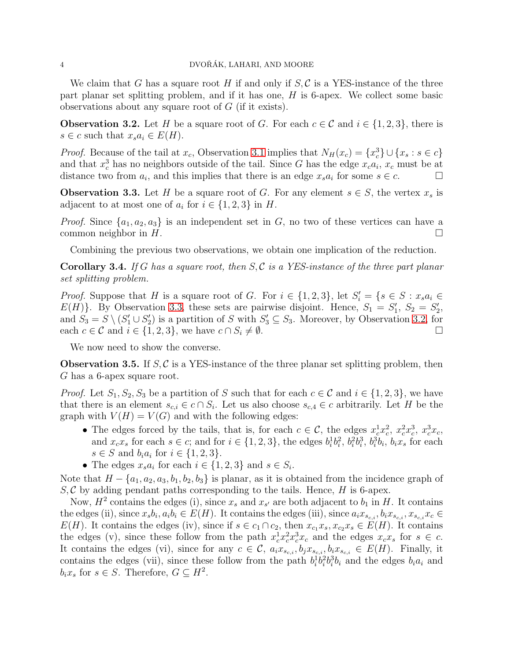We claim that G has a square root H if and only if  $S, \mathcal{C}$  is a YES-instance of the three part planar set splitting problem, and if it has one, H is 6-apex. We collect some basic observations about any square root of G (if it exists).

<span id="page-3-1"></span>**Observation 3.2.** Let H be a square root of G. For each  $c \in \mathcal{C}$  and  $i \in \{1, 2, 3\}$ , there is  $s \in c$  such that  $x_s a_i \in E(H)$ .

*Proof.* Because of the tail at  $x_c$ , Observation [3.1](#page-2-0) implies that  $N_H(x_c) = \{x_c^3\}$  $_{c}^{3}\}\cup\{x_{s}:s\in c\}$ and that  $x_c^3$  has no neighbors outside of the tail. Since G has the edge  $x_c a_i$ ,  $x_c$  must be at distance two from  $a_i$ , and this implies that there is an edge  $x_s a_i$  for some  $s \in c$ .

<span id="page-3-0"></span>**Observation 3.3.** Let H be a square root of G. For any element  $s \in S$ , the vertex  $x_s$  is adjacent to at most one of  $a_i$  for  $i \in \{1, 2, 3\}$  in H.

*Proof.* Since  $\{a_1, a_2, a_3\}$  is an independent set in G, no two of these vertices can have a common neighbor in  $H$ .

Combining the previous two observations, we obtain one implication of the reduction.

<span id="page-3-2"></span>Corollary 3.4. *If* G *has a square root, then* S, C *is a YES-instance of the three part planar set splitting problem.*

*Proof.* Suppose that H is a square root of G. For  $i \in \{1,2,3\}$ , let  $S_i' = \{s \in S : x_s a_i \in S_i\}$  $E(H)$ . By Observation [3.3,](#page-3-0) these sets are pairwise disjoint. Hence,  $S_1 = S_1'$ ,  $S_2 = S_2'$ , and  $S_3 = S \setminus (S_1' \cup S_2')$  is a partition of S with  $S_3' \subseteq S_3$ . Moreover, by Observation [3.2,](#page-3-1) for each  $c \in \mathcal{C}$  and  $i \in \{1, 2, 3\}$ , we have  $c \cap S_i \neq \emptyset$ .

We now need to show the converse.

<span id="page-3-3"></span>**Observation 3.5.** If  $S, C$  is a YES-instance of the three planar set splitting problem, then G has a 6-apex square root.

*Proof.* Let  $S_1, S_2, S_3$  be a partition of S such that for each  $c \in \mathcal{C}$  and  $i \in \{1, 2, 3\}$ , we have that there is an element  $s_{c,i} \in c \cap S_i$ . Let us also choose  $s_{c,4} \in c$  arbitrarily. Let H be the graph with  $V(H) = V(G)$  and with the following edges:

- The edges forced by the tails, that is, for each  $c \in \mathcal{C}$ , the edges  $x_c^1 x_c^2$  $c^2, x_c^2 x_c^3$  $c^3, x_c^3x_c,$ and  $x_c x_s$  for each  $s \in c$ ; and for  $i \in \{1, 2, 3\}$ , the edges  $b_i^1$  $\frac{1}{i}b_i^2$  $\frac{2}{i}, b_i^2$  $\widetilde{c}_i^2b_i^3$  $i^3, b_i^3$  $i^3b_i$ ,  $b_ix_s$  for each  $s \in S$  and  $b_i a_i$  for  $i \in \{1, 2, 3\}.$
- The edges  $x_s a_i$  for each  $i \in \{1, 2, 3\}$  and  $s \in S_i$ .

Note that  $H - \{a_1, a_2, a_3, b_1, b_2, b_3\}$  is planar, as it is obtained from the incidence graph of  $S, \mathcal{C}$  by adding pendant paths corresponding to the tails. Hence, H is 6-apex.

Now,  $H^2$  contains the edges (i), since  $x_s$  and  $x_{s'}$  are both adjacent to  $b_1$  in H. It contains the edges (ii), since  $x_s b_i, a_i b_i \in E(H)$ . It contains the edges (iii), since  $a_i x_{s_{c,i}}, b_i x_{s_{c,i}}, x_{s_{c,i}} x_c \in$  $E(H)$ . It contains the edges (iv), since if  $s \in c_1 \cap c_2$ , then  $x_{c_1}x_s, x_{c_2}x_s \in E(H)$ . It contains the edges (v), since these follow from the path  $x_c^1 x_c^2 x_c^3 x_c$  and the edges  $x_c x_s$  for  $s \in c$ . It contains the edges (vi), since for any  $c \in \mathcal{C}$ ,  $a_i x_{s_{c,i}}, b_j x_{s_{c,i}}, b_i x_{s_{c,i}} \in E(H)$ . Finally, it contains the edges (vii), since these follow from the path  $b_i^{\dagger}$  $\frac{1}{i}b_i^2$  $i^2b_i^3$  $i^3b_i$  and the edges  $b_ia_i$  and  $b_i x_s$  for  $s \in S$ . Therefore,  $G \subseteq H^2$ .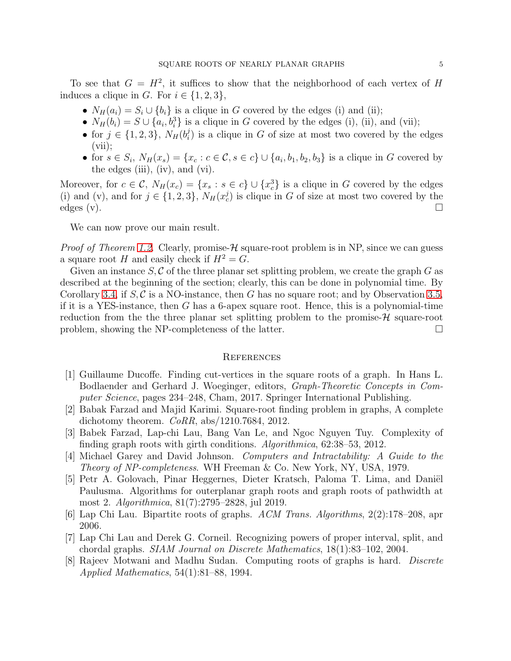To see that  $G = H^2$ , it suffices to show that the neighborhood of each vertex of H induces a clique in G. For  $i \in \{1,2,3\},\$ 

- $N_H(a_i) = S_i \cup \{b_i\}$  is a clique in G covered by the edges (i) and (ii);
- $N_H(b_i) = S \cup \{a_i, b_i^3\}$  is a clique in G covered by the edges (i), (ii), and (vii);
- for  $j \in \{1, 2, 3\}$ ,  $N_H(b_i^j)$  $\binom{1}{i}$  is a clique in G of size at most two covered by the edges  $(vii);$
- for  $s \in S_i$ ,  $N_H(x_s) = \{x_c : c \in \mathcal{C}, s \in c\} \cup \{a_i, b_1, b_2, b_3\}$  is a clique in G covered by the edges (iii), (iv), and (vi).

Moreover, for  $c \in \mathcal{C}$ ,  $N_H(x_c) = \{x_s : s \in c\} \cup \{x_c^3\}$  $c<sup>3</sup>$  is a clique in G covered by the edges (i) and (v), and for  $j \in \{1, 2, 3\}$ ,  $N_H(x_c^j)$  is clique in G of size at most two covered by the  $\text{edges (v)}$ .

We can now prove our main result.

*Proof of Theorem [1.2.](#page-1-0)* Clearly, promise- $H$  square-root problem is in NP, since we can guess a square root H and easily check if  $H^2 = G$ .

Given an instance  $S, \mathcal{C}$  of the three planar set splitting problem, we create the graph  $G$  as described at the beginning of the section; clearly, this can be done in polynomial time. By Corollary [3.4,](#page-3-2) if  $S, C$  is a NO-instance, then G has no square root; and by Observation [3.5,](#page-3-3) if it is a YES-instance, then  $G$  has a 6-apex square root. Hence, this is a polynomial-time reduction from the the three planar set splitting problem to the promise- $\mathcal{H}$  square-root problem, showing the NP-completeness of the latter.

#### **REFERENCES**

- <span id="page-4-4"></span>[1] Guillaume Ducoffe. Finding cut-vertices in the square roots of a graph. In Hans L. Bodlaender and Gerhard J. Woeginger, editors, *Graph-Theoretic Concepts in Computer Science*, pages 234–248, Cham, 2017. Springer International Publishing.
- <span id="page-4-6"></span>[2] Babak Farzad and Majid Karimi. Square-root finding problem in graphs, A complete dichotomy theorem. *CoRR*, abs/1210.7684, 2012.
- <span id="page-4-3"></span>[3] Babek Farzad, Lap-chi Lau, Bang Van Le, and Ngoc Nguyen Tuy. Complexity of finding graph roots with girth conditions. *Algorithmica*, 62:38–53, 2012.
- <span id="page-4-7"></span>[4] Michael Garey and David Johnson. *Computers and Intractability: A Guide to the Theory of NP-completeness*. WH Freeman & Co. New York, NY, USA, 1979.
- <span id="page-4-1"></span>[5] Petr A. Golovach, Pinar Heggernes, Dieter Kratsch, Paloma T. Lima, and Daniël Paulusma. Algorithms for outerplanar graph roots and graph roots of pathwidth at most 2. *Algorithmica*, 81(7):2795–2828, jul 2019.
- <span id="page-4-0"></span>[6] Lap Chi Lau. Bipartite roots of graphs. *ACM Trans. Algorithms*, 2(2):178–208, apr 2006.
- <span id="page-4-2"></span>[7] Lap Chi Lau and Derek G. Corneil. Recognizing powers of proper interval, split, and chordal graphs. *SIAM Journal on Discrete Mathematics*, 18(1):83–102, 2004.
- <span id="page-4-5"></span>[8] Rajeev Motwani and Madhu Sudan. Computing roots of graphs is hard. *Discrete Applied Mathematics*, 54(1):81–88, 1994.